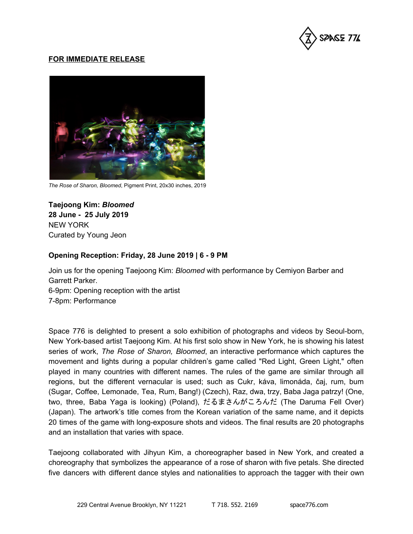

## **FOR IMMEDIATE RELEASE**



*The Rose of Sharon, Bloomed*, Pigment Print, 20x30 inches, 2019

**Taejoong Kim:** *Bloomed* **28 June - 25 July 2019** NEW YORK Curated by Young Jeon

## **Opening Reception: Friday, 28 June 2019 | 6 - 9 PM**

Join us for the opening Taejoong Kim: *Bloomed* with performance by Cemiyon Barber and Garrett Parker.

6-9pm: Opening reception with the artist

7-8pm: Performance

Space 776 is delighted to present a solo exhibition of photographs and videos by Seoul-born, New York-based artist Taejoong Kim. At his first solo show in New York, he is showing his latest series of work, *The Rose of Sharon, Bloomed*, an interactive performance which captures the movement and lights during a popular children's game called "Red Light, Green Light," often played in many countries with different names. The rules of the game are similar through all regions, but the different vernacular is used; such as Cukr, káva, limonáda, čaj, rum, bum (Sugar, Coffee, Lemonade, Tea, Rum, Bang!) (Czech), Raz, dwa, trzy, Baba Jaga patrzy! (One, two, three, [Baba](https://en.wikipedia.org/wiki/Baba_Yaga) Yaga is looking) (Poland), だるまさんがころんだ (The [Daruma](https://en.wikipedia.org/wiki/Daruma_doll) Fell Over) (Japan). The artwork's title comes from the Korean variation of the same name, and it depicts 20 times of the game with long-exposure shots and videos. The final results are 20 photographs and an installation that varies with space.

Taejoong collaborated with Jihyun Kim, a choreographer based in New York, and created a choreography that symbolizes the appearance of a rose of sharon with five petals. She directed five dancers with different dance styles and nationalities to approach the tagger with their own